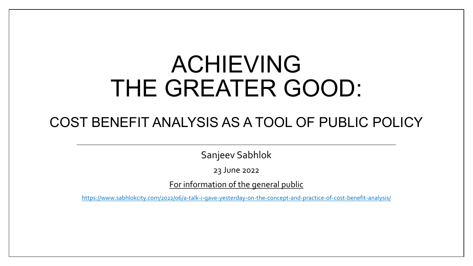# ACHIEVING THE GREATER GOOD:

#### COST BENEFIT ANALYSIS AS A TOOL OF PUBLIC POLICY

Sanjeev Sabhlok

23 June 2022

For information of the general public

<https://www.sabhlokcity.com/2022/06/a-talk-i-gave-yesterday-on-the-concept-and-practice-of-cost-benefit-analysis/>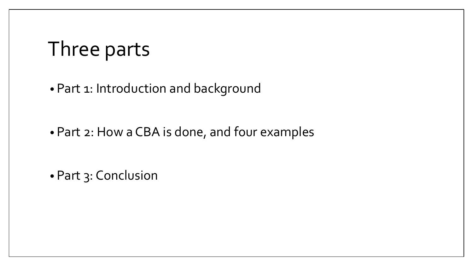#### Three parts

• Part 1: Introduction and background

• Part 2: How a CBA is done, and four examples

• Part 3: Conclusion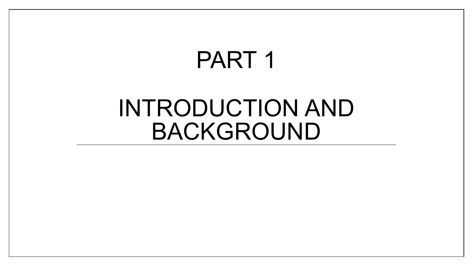## PART 1

## INTRODUCTION AND BACKGROUND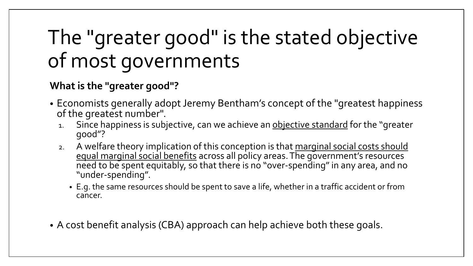## The "greater good" is the stated objective of most governments

#### **What is the "greater good"?**

- Economists generally adopt Jeremy Bentham's concept of the "greatest happiness of the greatest number".
	- 1. Since happiness is subjective, can we achieve an objective standard for the "greater good"?
	- 2. A welfare theory implication of this conception is that marginal social costs should equal marginal social benefits across all policy areas. The government's resources need to be spent equitably, so that there is no "over-spending" in any area, and no "under-spending".
		- E.g. the same resources should be spent to save a life, whether in a traffic accident or from cancer.
- A cost benefit analysis (CBA) approach can help achieve both these goals.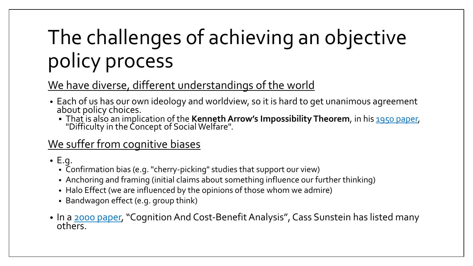# The challenges of achieving an objective policy process

#### We have diverse, different understandings of the world

- Each of us has our own ideology and worldview, so it is hard to get unanimous agreement about policy choices.
	- That is also an implication of the **Kenneth Arrow's Impossibility Theorem**, in his [1950 paper,](https://www.stat.uchicago.edu/%7Elekheng/meetings/mathofranking/ref/arrow.pdf) "Difficulty in the Concept of Social Welfare".

#### We suffer from cognitive biases

- E.g.
	- Confirmation bias (e.g. "cherry-picking" studies that support our view)
	- Anchoring and framing (initial claims about something influence our further thinking)
	- Halo Effect (we are influenced by the opinions of those whom we admire)
	- Bandwagon effect (e.g. group think)
- In a [2000 paper,](https://www.jstor.org/stable/10.1086/468105) "Cognition And Cost-Benefit Analysis", Cass Sunstein has listed many<br>oth[ers.](https://www.jstor.org/stable/10.1086/468105)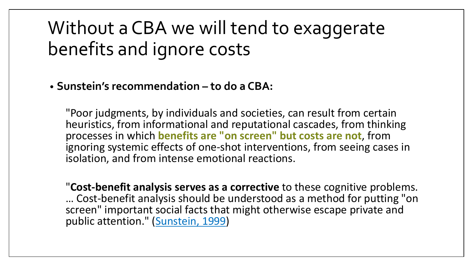#### Without a CBA we will tend to exaggerate benefits and ignore costs

#### • **Sunstein's recommendation – to do a CBA:**

"Poor judgments, by individuals and societies, can result from certain heuristics, from informational and reputational cascades, from thinking processes in which **benefits are "on screen" but costs are not**, from ignoring systemic effects of one-shot interventions, from seeing cases in isolation, and from intense emotional reactions.

"**Cost-benefit analysis serves as a corrective** to these cognitive problems. … Cost-benefit analysis should be understood as a method for putting "on screen" important social facts that might otherwise escape private and public attention." ([Sunstein, 1999\)](https://chicagounbound.uchicago.edu/cgi/viewcontent.cgi?article=1108&context=law_and_economics)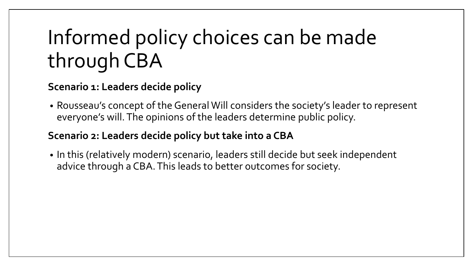## Informed policy choices can be made through CBA

#### **Scenario 1: Leaders decide policy**

• Rousseau's concept of the General Will considers the society's leader to represent everyone's will. The opinions of the leaders determine public policy.

#### **Scenario 2: Leaders decide policy but take into a CBA**

• In this (relatively modern) scenario, leaders still decide but seek independent advice through a CBA. This leads to better outcomes for society.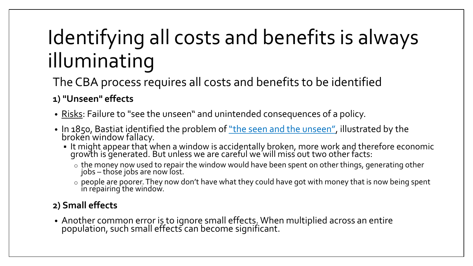## Identifying all costs and benefits is always illuminating

The CBA process requires all costs and benefits to be identified

#### **1) "Unseen" effects**

- Risks: Failure to "see the unseen" and unintended consequences of a policy.
- In 1850, Bastiat identified the problem of <u>"the seen and the unseen"</u>, illustrated by the broken window fallacy.
	- It might appear that when a window is accidentally broken, more work and therefore economic growth is generated. But unless we are careful we will miss out two other facts:
		- $\circ$  the money now used to repair the window would have been spent on other things, generating other jobs – thośe jobs are now ľost.
		- $\circ$  people are poorer. They now don't have what they could have got with money that is now being spent in repairing the window.

#### **2) Small effects**

• Another common error is to ignore small effects. When multiplied across an entire population, such small effects can become significant.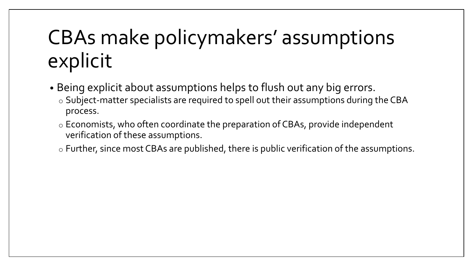## CBAs make policymakers' assumptions explicit

- Being explicit about assumptions helps to flush out any big errors.
	- o Subject-matter specialists are required to spell out their assumptions during the CBA process.
	- o Economists, who often coordinate the preparation of CBAs, provide independent verification of these assumptions.
	- o Further, since most CBAs are published, there is public verification of the assumptions.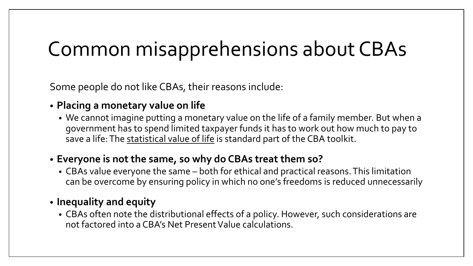### Common misapprehensions about CBAs

Some people do not like CBAs, their reasons include:

#### • **Placing a monetary value on life**

• We cannot imagine putting a monetary value on the life of a family member. But when a government has to spend limited taxpayer funds it has to work out how much to pay to save a life: The statistical value of life is standard part of the CBA toolkit.

#### • **Everyone is not the same, so why do CBAs treat them so?**

- CBAs value everyone the same both for ethical and practical reasons. This limitation can be overcome by ensuring policy in which no one's freedoms is reduced unnecessarily
- **Inequality and equity**
	- CBAs often note the distributional effects of a policy. However, such considerations are not factored into a CBA's Net Present Value calculations.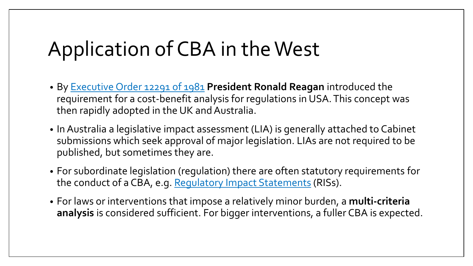### Application of CBA in the West

- By [Executive Order 12291 of 1981](https://ballotpedia.org/Presidential_Executive_Order_12291_(Ronald_Reagan,_1981)) **President Ronald Reagan** introduced the requirement for a cost-benefit analysis for regulations in USA. This concept was then rapidly adopted in the UK and Australia.
- In Australia a legislative impact assessment (LIA) is generally attached to Cabinet submissions which seek approval of major legislation. LIAs are not required to be published, but sometimes they are.
- For subordinate legislation (regulation) there are often statutory requirements for the conduct of a CBA, e.g. [Regulatory Impact Statements](https://www.vic.gov.au/regulatory-impact-statements) (RISs).
- For laws or interventions that impose a relatively minor burden, a **multi-criteria analysis** is considered sufficient. For bigger interventions, a fuller CBA is expected.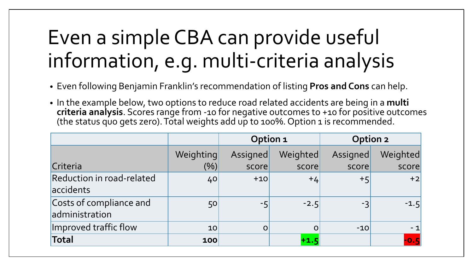### Even a simple CBA can provide useful information, e.g. multi-criteria analysis

- Even following Benjamin Franklin's recommendation of listing **Pros and Cons** can help.
- In the example below, two options to reduce road related accidents are being in a **multi criteria analysis**. Scores range from -10 for negative outcomes to +10 for positive outcomes (the status quo gets zero). Total weights add up to 100%. Option 1 is recommended.

|                                           | Option 1  |             |          |          | Option 2 |  |
|-------------------------------------------|-----------|-------------|----------|----------|----------|--|
|                                           | Weighting | Assigned    | Weighted | Assigned | Weighted |  |
| Criteria                                  | $(\% )$   | score       | score    | score    | score    |  |
| Reduction in road-related<br>accidents    | 40        | $+10$       | $+4$     | $+5$     | $+2$     |  |
| Costs of compliance and<br>administration | 50        | $-5$        | $-2.5$   | -3       | $-1.5$   |  |
| Improved traffic flow                     | 10        | $\mathbf O$ | $\Omega$ | $-10$    | $-1$     |  |
| Total                                     | 100       |             | $+1.5$   |          | $-0.5$   |  |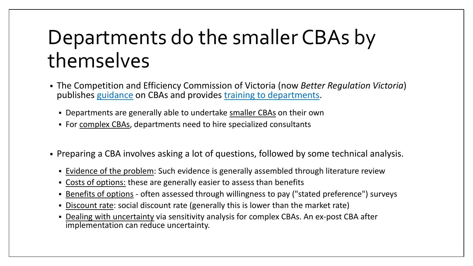### Departments do the smaller CBAs by themselves

- The Competition and Efficiency Commission of Victoria (now *Better Regulation Victoria*) publishes [guidance](https://www.vic.gov.au/how-to-prepare-regulatory-impact-assessments) on CBAs and provides [training to departments.](https://www.vic.gov.au/better-regulation-training)
	- Departments are generally able to undertake smaller CBAs on their own
	- For complex CBAs, departments need to hire specialized consultants
- Preparing a CBA involves asking a lot of questions, followed by some technical analysis.
	- **Exallence of the problem:** Such evidence is generally assembled through literature review
	- Costs of options: these are generally easier to assess than benefits
	- Benefits of options often assessed through willingness to pay ("stated preference") surveys
	- Discount rate: social discount rate (generally this is lower than the market rate)
	- **Dealing with uncertainty via sensitivity analysis for complex CBAs. An ex-post CBA after** implementation can reduce uncertainty.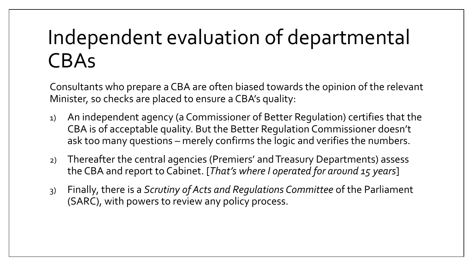### Independent evaluation of departmental CBAs

Consultants who prepare a CBA are often biased towards the opinion of the relevant Minister, so checks are placed to ensure a CBA's quality:

- 1) An independent agency (a Commissioner of Better Regulation) certifies that the CBA is of acceptable quality. But the Better Regulation Commissioner doesn't ask too many questions – merely confirms the logic and verifies the numbers.
- 2) Thereafter the central agencies (Premiers' and Treasury Departments) assess the CBA and report to Cabinet. [*That's where I operated for around 15 years*]
- 3) Finally, there is a *Scrutiny of Acts and Regulations Committee* of the Parliament (SARC), with powers to review any policy process.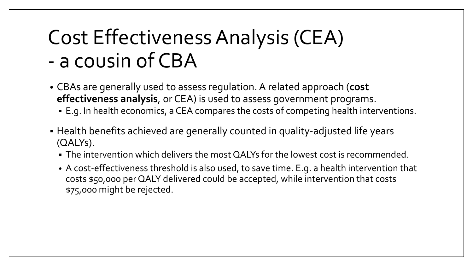### Cost Effectiveness Analysis (CEA) - a cousin of CBA

- CBAs are generally used to assess regulation. A related approach (**cost effectiveness analysis**, or CEA) is used to assess government programs.
	- E.g. In health economics, a CEA compares the costs of competing health interventions.
- Health benefits achieved are generally counted in quality-adjusted life years (QALYs).
	- The intervention which delivers the most QALYs for the lowest cost is recommended.
	- A cost-effectiveness threshold is also used, to save time. E.g. a health intervention that costs \$50,000 per QALY delivered could be accepted, while intervention that costs \$75,000 might be rejected.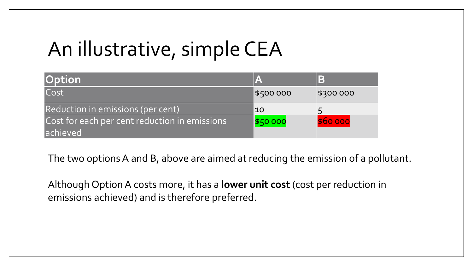### An illustrative, simple CEA

| <b>Option</b>                                              |           | B         |
|------------------------------------------------------------|-----------|-----------|
| Cost                                                       | \$500 000 | \$300 000 |
| Reduction in emissions (per cent)                          | 10        |           |
| Cost for each per cent reduction in emissions<br>lachieved | \$50 000  | \$60 000  |

The two options A and B, above are aimed at reducing the emission of a pollutant.

Although Option A costs more, it has a **lower unit cost** (cost per reduction in emissions achieved) and is therefore preferred.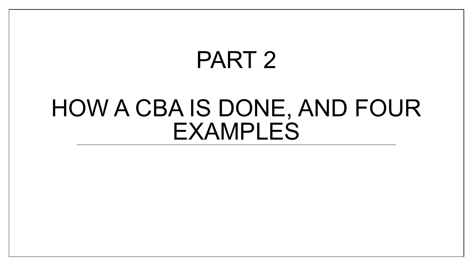# PART 2

## HOW A CBA IS DONE, AND FOUR EXAMPLES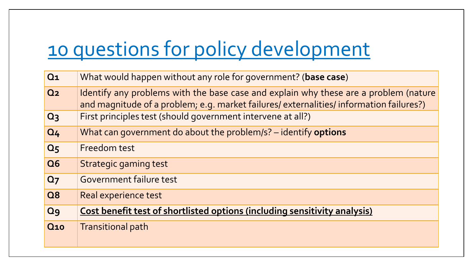### [10 questions for policy development](http://swarnabharat.in/Documents/SBP-Policy-Framework.pdf)

| Q <sub>1</sub> | What would happen without any role for government? (base case)                                                                                                                  |
|----------------|---------------------------------------------------------------------------------------------------------------------------------------------------------------------------------|
| Q <sub>2</sub> | Identify any problems with the base case and explain why these are a problem (nature<br>and magnitude of a problem; e.g. market failures/ externalities/ information failures?) |
| Q <sub>3</sub> | First principles test (should government intervene at all?)                                                                                                                     |
| Q <sub>4</sub> | What can government do about the problem/s? - identify options                                                                                                                  |
| Q <sub>5</sub> | Freedom test                                                                                                                                                                    |
| <b>Q6</b>      | Strategic gaming test                                                                                                                                                           |
| Q <sub>7</sub> | Government failure test                                                                                                                                                         |
| <b>Q8</b>      | Real experience test                                                                                                                                                            |
| Q <sub>9</sub> | Cost benefit test of shortlisted options (including sensitivity analysis)                                                                                                       |
| <b>Q10</b>     | <b>Transitional path</b>                                                                                                                                                        |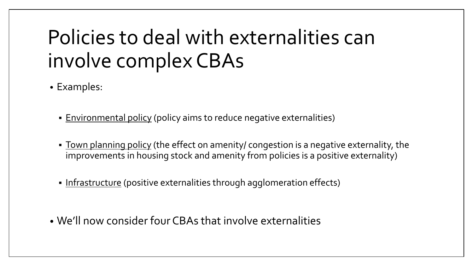### Policies to deal with externalities can involve complex CBAs

- Examples:
	- **Environmental policy (policy aims to reduce negative externalities)**
	- **Town planning policy** (the effect on amenity/ congestion is a negative externality, the improvements in housing stock and amenity from policies is a positive externality)
	- Infrastructure (positive externalities through agglomeration effects)
- We'll now consider four CBAs that involve externalities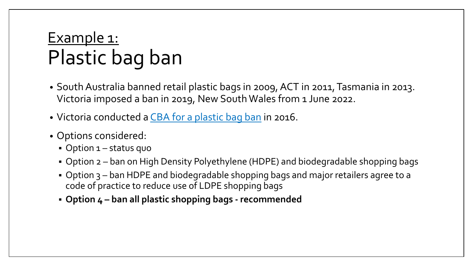#### Example 1: Plastic bag ban

- South Australia banned retail plastic bags in 2009, ACT in 2011, Tasmania in 2013. Victoria imposed a ban in 2019, New South Wales from 1 June 2022.
- Victoria conducted a [CBA for a plastic bag ban](https://s3.ap-southeast-2.amazonaws.com/hdp.au.prod.app.vic-engage.files/1915/0580/1564/Plastic_Bags_Ban_Options_-_Cost_Benefit_Analysis_Report.pdf) in 2016.
- Options considered:
	- Option 1 status quo
	- Option 2 ban on High Density Polyethylene (HDPE) and biodegradable shopping bags
	- Option 3 ban HDPE and biodegradable shopping bags and major retailers agree to a code of practice to reduce use of LDPE shopping bags
	- **Option 4 – ban all plastic shopping bags - recommended**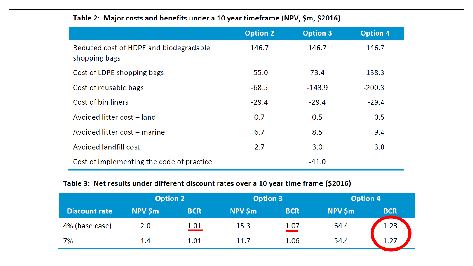|                                                         | <b>Option 2</b> | <b>Option 3</b> | <b>Option 4</b> |
|---------------------------------------------------------|-----------------|-----------------|-----------------|
| Reduced cost of HDPE and biodegradable<br>shopping bags | 146.7           | 146.7           | 146.7           |
| Cost of LDPE shopping bags                              | $-55.0$         | 73.4            | 138.3           |
| Cost of reusable bags                                   | $-68.5$         | $-143.9$        | $-200.3$        |
| Cost of bin liners                                      | $-29.4$         | $-29.4$         | $-29.4$         |
| Avoided litter cost - land                              | 0.7             | 0.5             | 0.5             |
| Avoided litter cost - marine                            | 6.7             | 8.5             | 9.4             |
| Avoided landfill cost                                   | 2.7             | 3.0             | 3.0             |
| Cost of implementing the code of practice               |                 | $-41.0$         |                 |

#### Table 2: Major costs and benefits under a 10 year timeframe (NPV, \$m, \$2016)

#### Table 3: Net results under different discount rates over a 10 year time frame (\$2016)

|                      | <b>Option 2</b> |            | <b>Option 3</b> |            | <b>Option 4</b> |            |
|----------------------|-----------------|------------|-----------------|------------|-----------------|------------|
| <b>Discount rate</b> | NPV \$m         | <b>BCR</b> | NPV \$m         | <b>BCR</b> | NPV \$m         | <b>BCR</b> |
| 4% (base case)       | 2.0             | 1.01       | 15.3            | 1.07       | 64.4            | 1.28       |
| 7%                   | 1.4             | 1.01       | 11.7            | 1.06       | 54.4            | 1.27       |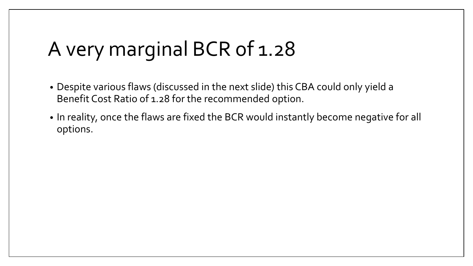### A very marginal BCR of 1.28

- Despite various flaws (discussed in the next slide) this CBA could only yield a Benefit Cost Ratio of 1.28 for the recommended option.
- In reality, once the flaws are fixed the BCR would instantly become negative for all options.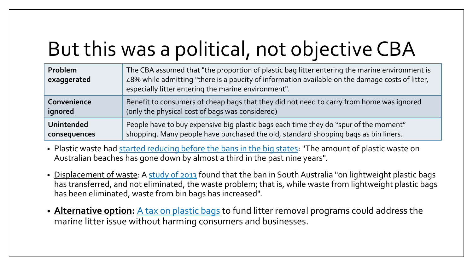## But this was a political, not objective CBA

| <b>Problem</b><br>exaggerated | The CBA assumed that "the proportion of plastic bag litter entering the marine environment is<br>48% while admitting "there is a paucity of information available on the damage costs of litter,<br>especially litter entering the marine environment". |
|-------------------------------|---------------------------------------------------------------------------------------------------------------------------------------------------------------------------------------------------------------------------------------------------------|
| Convenience                   | Benefit to consumers of cheap bags that they did not need to carry from home was ignored                                                                                                                                                                |
| ignored                       | (only the physical cost of bags was considered)                                                                                                                                                                                                         |
| <b>Unintended</b>             | People have to buy expensive big plastic bags each time they do "spur of the moment"                                                                                                                                                                    |
| consequences                  | shopping. Many people have purchased the old, standard shopping bags as bin liners.                                                                                                                                                                     |

- Plastic waste had [started reducing before the bans in the big states:](https://www.9news.com.au/national/plastic-pollution-australian-beaches-litter-waste-environment-news/0580a507-8185-4e4f-8e05-259ce45b79b3) "The amount of plastic waste on Australian beaches has gone down by almost a third in the past nine years".
- <u>Displacement of waste</u>: A [study of 2013](https://www.parliament.nsw.gov.au/researchpapers/documents/plastic-bags-an-update/plastic%20bags%20-%20an%20update.pdf) found that the ban in South Australia "on lightweight plastic bags has transferred, and not eliminated, the waste problem; that is, while waste from lightweight plastic bags has been eliminated, waste from bin bags has increased".
- **Alternative option:** [A tax on plastic bags](https://timesofindia.indiatimes.com/blogs/seeing-the-invisible/a-tax-to-eliminate-indias-plastic-litter/) to fund litter removal programs could address the marine litter issue without harming consumers and businesses.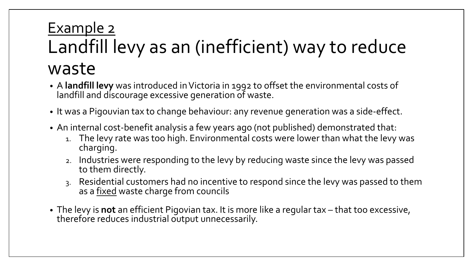#### Example 2 Landfill levy as an (inefficient) way to reduce waste

- A **landfill levy** was introduced in Victoria in 1992 to offset the environmental costs of landfill and discourage excessive generation of waste.
- It was a Pigouvian tax to change behaviour: any revenue generation was a side-effect.
- An internal cost-benefit analysis a few years ago (not published) demonstrated that:
	- 1. The levy rate was too high. Environmental costs were lower than what the levy was charging.
	- 2. Industries were responding to the levy by reducing waste since the levy was passed to them directly.
	- 3. Residential customers had no incentive to respond since the levy was passed to them as a fixed waste charge from councils
- The levy is **not** an efficient Pigovian tax. It is more like a regular tax that too excessive, therefore reduces industrial output unnecessarily.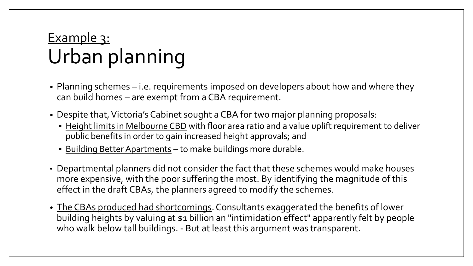#### Example 3: Urban planning

- Planning schemes i.e. requirements imposed on developers about how and where they can build homes – are exempt from a CBA requirement.
- Despite that, Victoria's Cabinet sought a CBA for two major planning proposals:
	- **EXA** Height limits in Melbourne CBD with floor area ratio and a value uplift requirement to deliver public benefits in order to gain increased height approvals; and
	- **Building Better Apartments to make buildings more durable.**
- Departmental planners did not consider the fact that these schemes would make houses more expensive, with the poor suffering the most. By identifying the magnitude of this effect in the draft CBAs, the planners agreed to modify the schemes.
- The CBAs produced had shortcomings. Consultants exaggerated the benefits of lower building heights by valuing at \$1 billion an "intimidation effect" apparently felt by people who walk below tall buildings. - But at least this argument was transparent.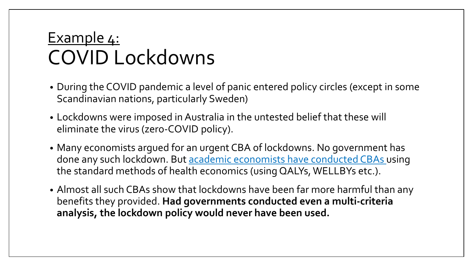#### Example 4: COVID Lockdowns

- During the COVID pandemic a level of panic entered policy circles (except in some Scandinavian nations, particularly Sweden)
- Lockdowns were imposed in Australia in the untested belief that these will eliminate the virus (zero-COVID policy).
- Many economists argued for an urgent CBA of lockdowns. No government has done any such lockdown. But [academic economists have conducted CBAs](https://www.thegreatcovidpanic.com/_files/ugd/23eb94_920d5ddd484640ee8dfca8f045b14886.pdf) using the standard methods of health economics (using QALYs, WELLBYs etc.).
- Almost all such CBAs show that lockdowns have been far more harmful than any benefits they provided. **Had governments conducted even a multi-criteria analysis, the lockdown policy would never have been used.**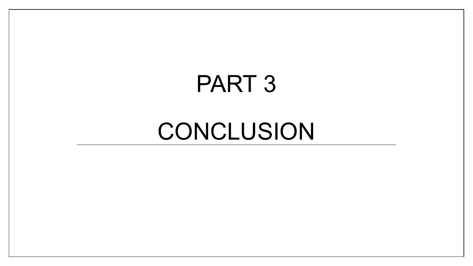# PART 3

## CONCLUSION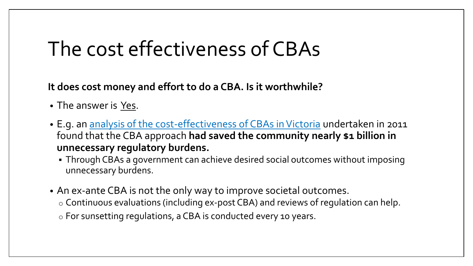#### The cost effectiveness of CBAs

**It does cost money and effort to do a CBA. Is it worthwhile?**

- The answer is Yes.
- E.g. an [analysis of the cost-effectiveness of CBAs in Victoria](https://web.archive.org/web/20120318051249/http:/www.vcec.vic.gov.au/CA256EAF001C7B21/WebObj/CosteffectivenessofVictorianregulatoryimpactassessment-February2011-Final/$File/Cost%20effectiveness%20of%20Victorian%20regulatory%20impact%20assessment%20-%20February%202011%20-%20Final.pdf) undertaken in 2011 found that the CBA approach **had saved the community nearly \$1 billion in unnecessary regulatory burdens.**
	- Through CBAs a government can achieve desired social outcomes without imposing unnecessary burdens.
- An ex-ante CBA is not the only way to improve societal outcomes.
	- o Continuous evaluations (including ex-post CBA) and reviews of regulation can help.
	- o For sunsetting regulations, a CBA is conducted every 10 years.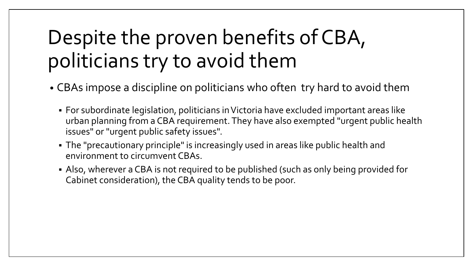## Despite the proven benefits of CBA, politicians try to avoid them

- CBAs impose a discipline on politicians who often try hard to avoid them
	- For subordinate legislation, politicians in Victoria have excluded important areas like urban planning from a CBA requirement. They have also exempted "urgent public health issues" or "urgent public safety issues".
	- The "precautionary principle" is increasingly used in areas like public health and environment to circumvent CBAs.
	- Also, wherever a CBA is not required to be published (such as only being provided for Cabinet consideration), the CBA quality tends to be poor.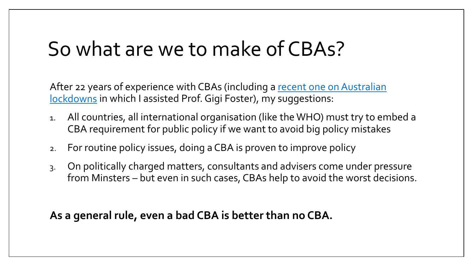### So what are we to make of CBAs?

After 22 years of experience with CBAs (including a recent one on Australian lockdowns in which I assisted Prof. Gigi Foster), my suggestions:

- 1. All countries, all international organisation (like the WHO) must try to embed a CBA requirement for public policy if we want to avoid big policy mistakes
- 2. For routine policy issues, doing a CBA is proven to improve policy
- 3. On politically charged matters, consultants and advisers come under pressure from Minsters – but even in such cases, CBAs help to avoid the worst decisions.

**As a general rule, even a bad CBA is better than no CBA.**